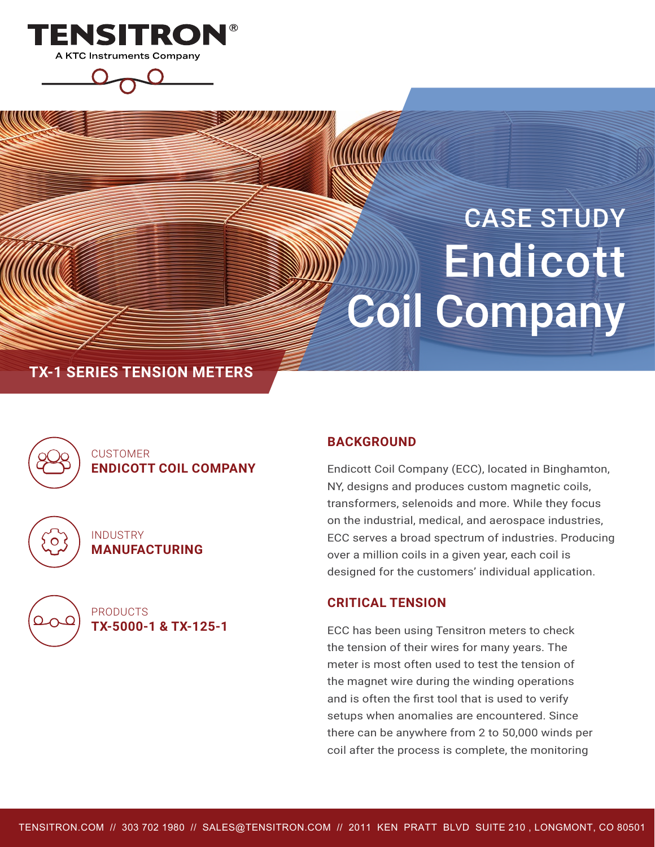

# CASE STUDY Endicott Coil Company

# **TX-1 SERIES TENSION METERS**



0

### **CUSTOMER ENDICOTT COIL COMPANY**

INDUSTRY **MANUFACTURING**



PRODUCTS **TX-5000-1 & TX-125-1**

#### **BACKGROUND**

Endicott Coil Company (ECC), located in Binghamton, NY, designs and produces custom magnetic coils, transformers, selenoids and more. While they focus on the industrial, medical, and aerospace industries, ECC serves a broad spectrum of industries. Producing over a million coils in a given year, each coil is designed for the customers' individual application.

#### **CRITICAL TENSION**

ECC has been using Tensitron meters to check the tension of their wires for many years. The meter is most often used to test the tension of the magnet wire during the winding operations and is often the first tool that is used to verify setups when anomalies are encountered. Since there can be anywhere from 2 to 50,000 winds per coil after the process is complete, the monitoring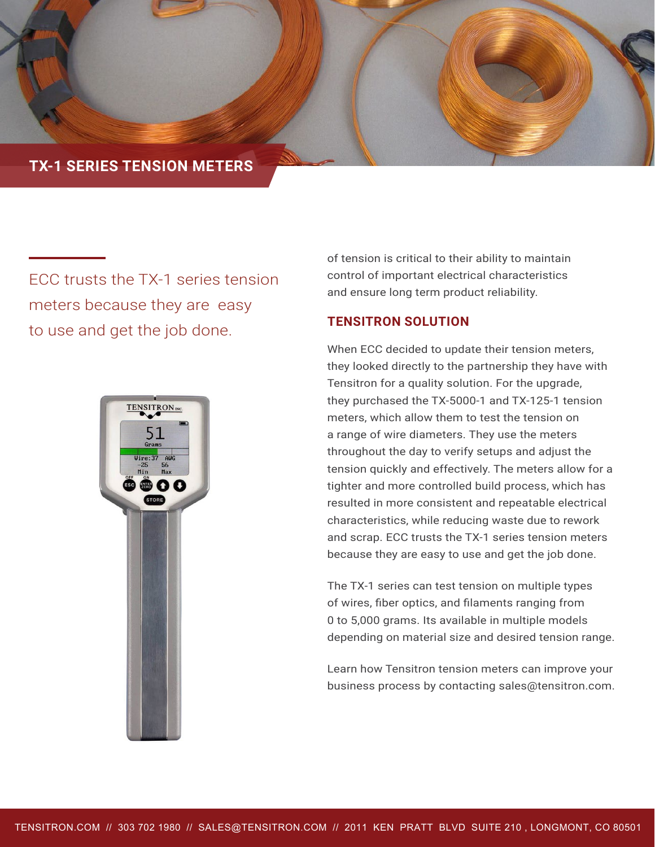

ECC trusts the TX-1 series tension meters because they are easy to use and get the job done.



of tension is critical to their ability to maintain control of important electrical characteristics and ensure long term product reliability.

#### **TENSITRON SOLUTION**

When ECC decided to update their tension meters, they looked directly to the partnership they have with Tensitron for a quality solution. For the upgrade, they purchased the TX-5000-1 and TX-125-1 tension meters, which allow them to test the tension on a range of wire diameters. They use the meters throughout the day to verify setups and adjust the tension quickly and effectively. The meters allow for a tighter and more controlled build process, which has resulted in more consistent and repeatable electrical characteristics, while reducing waste due to rework and scrap. ECC trusts the TX-1 series tension meters because they are easy to use and get the job done.

The TX-1 series can test tension on multiple types of wires, fiber optics, and filaments ranging from 0 to 5,000 grams. Its available in multiple models depending on material size and desired tension range.

Learn how Tensitron tension meters can improve your business process by contacting sales@tensitron.com.